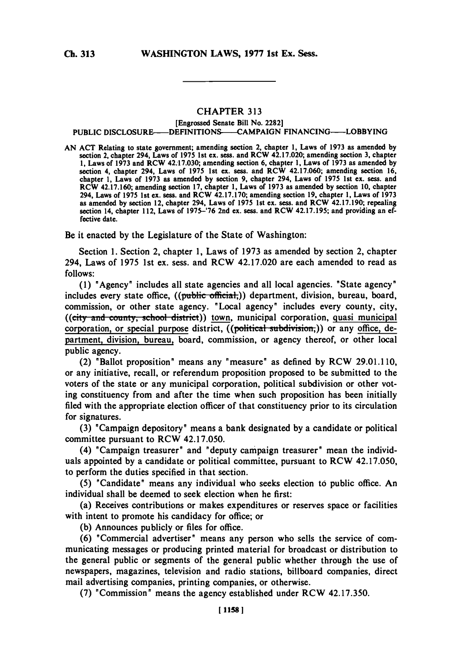## CHAPTER **313**

## (Engrossed Senate Bill No. **2282] PUBLIC** DISCLOSURE-DEFINITIONS--CAMPAIGN **FINANCING-LOBBYING**

**AN ACT** Relating to state government; amending section 2, chapter **1,** Laws of **1973** as amended **by** section 2, chapter 294, Laws of **1975** 1st ex. sess. and RCW 42.17.020; amending section **3,** chapter **1,** Laws of **1973** and RCW 42.17.030; amending section **6,** chapter **1,** Laws of **1973** as amended **by** section 4, chapter 294, Laws of **1975** 1st ex. sess. and RCW 42.17.060; amending section **16,** chapter **1,** Laws of **1973** as amended **by** section **9,** chapter 294, Laws of **1975** 1st ex. sess. and RCW 42.17.160; amending section **17,** chapter **1,** Laws of **1973** as amended **by** section **10.** chapter 294, Laws of **1975** 1st ex. sess. and RCW **42.17.170;** amending section **19,** chapter **1,** Laws of **1973** as amended **by** section 12, chapter 294, Laws of **1975** 1st ex. sess. and RCW 42.17.190; repealing section 14, chapter 112, Laws of **1975-'76** 2nd ex. sess. and RCW **42.17.195;** and providing an effective date.

Be it enacted **by** the Legislature of the State of Washington:

Section **1.** Section 2, chapter **1,** Laws of **1973** as amended **by** section 2, chapter 294, Laws of **1975** 1st ex. sess. and RCW 42.17.020 are each amended to read as **follows:**

**(1)** "Agency" includes all state agencies and all local agencies. "State agency" includes every state office, ((public official,)) department, division, bureau, board, commission, or other state agency. "Local agency" includes every county, city, ((city and county, school district)) town, municipal corporation, quasi municipal corporation, or special purpose district, ((political subdivision,)) or any office, department, division, bureau, board, commission, or agency thereof, or other local public agency.

(2) "Ballot proposition" means any "measure" as defined **by** RCW **29.01.110,** or any initiative, recall, or referendum proposition proposed to be submitted to the voters of the state or any municipal corporation, political subdivision or other voting constituency from and after the time when such proposition has been initially filed with the appropriate election officer of that constituency prior to its circulation for signatures.

**(3)** "Campaign depository" means a bank designated **by** a candidate or political committee pursuant to RCW 42.17.050.

(4) "Campaign treasurer" and "deputy campaign treasurer" mean the individuals appointed **by** a candidate or political committee, pursuant to RCW 42.17.050, to perform the duties specified in that section.

**(5)** "Candidate" means any individual who seeks election to public office. An individual shall be deemed to seek election when he first:

(a) Receives contributions or makes expenditures or reserves space or facilities with intent to promote his candidacy for office; or

**(b)** Announces publicly or files for office.

**(6)** "Commercial advertiser" means any person who sells the service of communicating messages or producing printed material for broadcast or distribution to the general public or segments of the general public whether through the use of newspapers, magazines, television and radio stations, billboard companies, direct mail advertising companies, printing companies, or otherwise.

**(7)** "Commission" means the agency established under RCW **42.17.350.**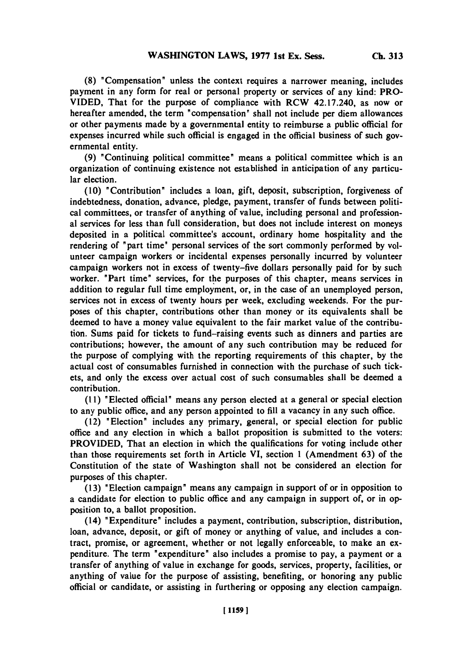**(8)** "Compensation" unless the context requires a narrower meaning, includes payment in any form for real or personal property or services of any kind: PRO-VIDED, That for the purpose of compliance with RCW 42.17.240, as now or hereafter amended, the term 'compensation' shall not include per diem allowances or other payments made **by** a governmental entity to reimburse a public official for expenses incurred while such official is engaged in the official business of such governmental entity.

**(9)** "Continuing political committee' means a political committee which is an organization of continuing existence not established in anticipation of any particular election.

**(10)** 'Contribution' includes a loan, gift, deposit, subscription, forgiveness of indebtedness, donation, advance, pledge, payment, transfer of funds between political committees, or transfer of anything of value, including personal and professional services for less than full consideration, but does not include interest on moneys deposited in a political committee's account, ordinary home hospitality and the rendering of 'part time' personal services of the sort commonly performed **by** volunteer campaign workers or incidental expenses personally incurred **by** volunteer campaign workers not in excess of twenty-five dollars personally paid for **by** such worker. 'Part time' services, for the purposes of this chapter, means services in addition to regular full time employment, or, in the case of an unemployed person, services not in excess of twenty hours per week, excluding weekends. For the purposes of this chapter, contributions other than money or its equivalents shall be deemed to have a money value equivalent to the fair market value of the contribution. Sums paid for tickets to fund-raising events such as dinners and parties are contributions; however, the amount of any such contribution may be reduced for the purpose of complying with the reporting requirements of this chapter, **by** the actual cost of consumnables furnished in connection with the purchase of such tickets, and only the excess over actual cost of such consumnables shall be deemed a contribution.

**(11)** 'Elected official' means any person elected at a general or special election to any public office, and any person appointed to **fill** a vacancy in any such office.

(12) 'Election' includes any primary, general, or special election for public office and any election in which a ballot proposition is submitted to the voters: PROVIDED, That an election in which the qualifications for voting include other than those requirements set forth in Article VI, section 1 (Amendment **63)** of the Constitution of the state of Washington shall not be considered an election for purposes of this chapter.

**(13)** 'Election campaign' means any campaign in support of or in opposition to a candidate for election to public office and any campaign in support of, or in opposition to, a ballot proposition.

(14) 'Expenditure' includes a payment, contribution, subscription, distribution, loan, advance, deposit, or gift of money or anything of value, and includes a contract, promise, or agreement, whether or not legally enforceable, to make an expenditure. The term 'expenditure' also includes a promise to pay, a payment or a transfer of anything of value in exchange for goods, services, property, facilities, or anything of value for the purpose of assisting, benefiting, or honoring any public official or candidate, or assisting in furthering or opposing any election campaign.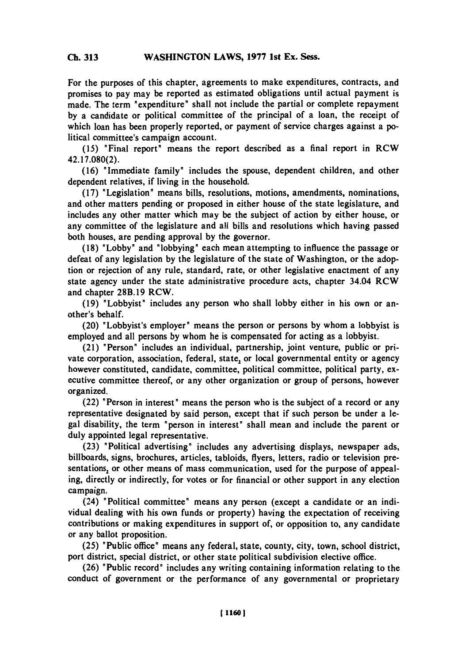**For the** purposes of this chapter, agreements to make expenditures, contracts, and promises to pay may be reported as estimated obligations until actual payment is made. The term "expenditure" shall not include the partial or complete repayment **by** a candidate or political committee of the principal of a loan, the receipt of which loan has been properly reported, or payment of service charges against a political committee's campaign account.

**(15)** 'Final report' means the report described as a final report in RCW **42.17.080(2).**

**(16)** "Immediate family' includes the spouse, dependent children, and other dependent relatives, if living in the household.

**(17)** 'Legislation' means bills, resolutions, motions, amendments, nominations, and other matters pending or proposed in either house of the state legislature, and includes any other matter which may be the subject of action **by** either house, or any committee of the legislature and all bills and resolutions which having passed both houses, are pending approval **by** the governor.

**(18)** 'Lobby' and 'lobbying' each mean attempting to influence the passage or defeat of any legislation **by** the legislature of the state of Washington, or the adoption or rejection of any rule, standard, rate, or other legislative enactment of any state agency under the state administrative procedure acts, chapter 34.04 RCW and chapter **28B.19** RCW.

**(19)** 'Lobbyist' includes any person who shall lobby either in his own or another's behalf.

(20) 'Lobbyist's employer' means the person or persons **by** whom a lobbyist is employed and all persons **by** whom he is compensated for acting as a lobbyist.

(21) 'Person' includes an individual, partnership, joint venture, public or private corporation, association, federal, state, or local governmental entity or agency however constituted, candidate, committee, political committee, political party, executive committee thereof, or any other organization or group of persons, however organized.

(22) 'Person in interest' means the person who is the subject of a record or any representative designated **by** said person, except that if such person be under a legal disability, the term 'person in interest' shall mean and include the parent or duly appointed legal representative.

**(23)** 'Political advertising' includes any advertising displays, newspaper ads, billboards, signs, brochures, articles, tabloids, flyers, letters, radio or television presentations, or other means of mass communication, used for the purpose of appealing, directly or indirectly, for votes or for financial or other support in any election campaign.

(24) 'Political committee' means any person (except a candidate or an individual dealing with his own funds or property) having the expectation of receiving contributions or making expenditures in support of, or opposition to, any candidate or any ballot proposition.

**(25)** 'Public office' means any federal, state, county, city, town, school district, port district, special district, or other state political subdivision elective office.

**(26)** 'Public record" includes any writing containing information relating to the conduct of government or the performance of any governmental or proprietary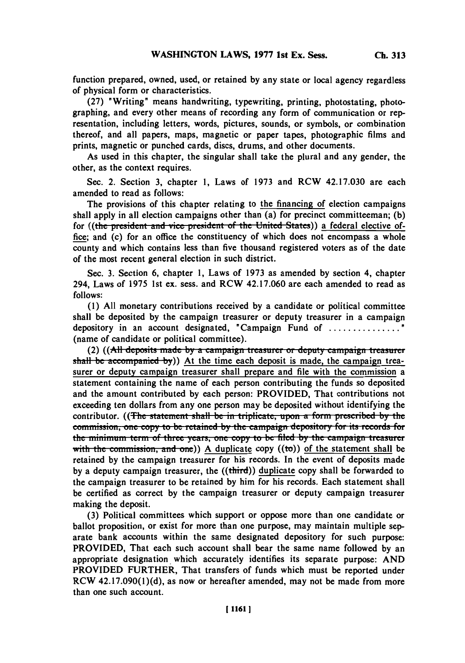**(27)** "Writing" means handwriting, typewriting, printing, photostating, photographing, and every other means of recording any form of communication or representation, including letters, words, pictures, sounds, or symbols, or combination thereof, and all papers, maps, magnetic or paper tapes, photographic films and prints, magnetic or punched cards, discs, drums, and other documents.

As used in this chapter, the singular shall take the plural and any gender, the other, as the context requires.

Sec. 2. Section **3,** chapter **1,** Laws of **1973** and RCW 42.17.030 are each amended to read as follows:

The provisions of this chapter relating to the financing of election campaigns shall apply in all election campaigns other than (a) for precinct committeeman; **(b)** for ((the president and vice president of the United States)) <u>a federal elective of-</u> fice; and (c) for an office the constituency of which does not encompass a whole county and which contains less than five thousand registered voters as of the date of the most recent general election in such district.

Sec. **3.** Section **6,** chapter **1,** Laws of **1973** as amended **by** section 4, chapter 294, Laws of **1975** 1st ex. sess. and RCW 42.17.060 are each amended to read as *follows:*

**(1) All** monetary contributions received **by** a candidate or political committee shall be deposited **by** the campaign treasurer or deputy treasurer in a campaign depository in an account designated, "Campaign Fund of **...............** (name of candidate or political committee).

(2) ((All deposits made by a campaign treasurer or deputy campaign treasurer shall be accompanied by)) At the time each deposit is made, the campaign treasurer or deputy campaign treasurer shall prepare and file with the commission a statement containing the name of each person contributing the funds so deposited and the amount contributed **by** each person: PROVIDED, That contributions not exceeding ten dollars from any one person may be deposited without identifying the contributor. ((The statement shall be in triplicate, upon a form prescribed by the commission, one copy to be retained by the campaign depository for its records for **the minimum term of three years, one copy to be filed by the campaign treasurer** with the commission, and one) A duplicate copy  $((\text{to}))$  of the statement shall be retained **by** the campaign treasurer for his records. In the event of deposits made **by** a deputy campaign treasurer, the ((third)) duplicate copy shall be forwarded to the campaign treasurer to be retained **by** him for his records. Each statement shall be certified as correct **by** the campaign treasurer or deputy campaign treasurer making the deposit.

**(3)** Political committees which support or oppose more than one candidate or ballot proposition, or exist for more than one purpose, may maintain multiple separate bank accounts within the same designated depository for such purpose: PROVIDED, That each such account shall bear the same name followed **by** an appropriate designation which accurately identifies its separate purpose: AND PROVIDED FURTHER, That transfers of funds which must be reported under RCW **42.17.090(1)(d),** as now or hereafter amended, may not be made from more than one such account.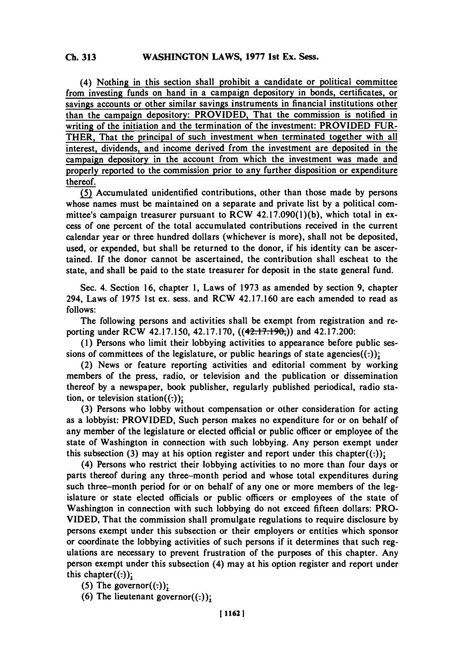(4) Nothing in this section shall prohibit a candidate or political committee from investing funds on hand in a campaign depository in bonds, certificates, or savings accounts or other similar savings instruments in financial institutions other than the campaign depository: PROVIDED, That the commission is notified in writing of the initiation and the termination of the investment: PROVIDED FUR-THER, That the principal of such investment when terminated together with all interest, dividends, and income derived from the investment are deposited in the campaign depository in the account from which the investment was made and properly reported to the commission prior to any further disposition or expenditure thereof.

**J(j** Accumulated unidentified contributions, other than those made **by** persons whose names must be maintained on a separate and private list **by** a political committee's campaign treasurer pursuant to RCW **42.17.090(l)(b),** which total in excess of one percent of the total accumulated contributions received in the current calendar year or three hundred dollars (whichever is more), shall not be deposited, used, or expended, but shall be returned to the donor, if his identity can be ascertained. If the donor cannot be ascertained, the contribution shall escheat to the state, and shall be paid to the state treasurer for deposit in the state general fund.

Sec. 4. Section **16,** chapter **1,** Laws of **1973** as amended **by** section **9,** chapter 294, Laws of **1975** 1st ex. sess. and RCW 42.17.160 are each amended to read as *follows:*

The following persons and activities shall be exempt from registration and reporting under RCW 42.17.150, 42.17.170, ((42.17.190;)) and 42.17.200:

**(1)** Persons who limit their lobbying activities to appearance before public sessions of committees of the legislature, or public hearings of state agencies $((:)$ ;

(2) News or feature reporting activities and editorial comment **by** working members of the press, radio, or television and the publication or dissemination thereof **by** a newspaper, book publisher, regularly published periodical, radio station, or television station $((\cdot))$ ;

**(3)** Persons who lobby without compensation or other consideration for acting as a lobbyist: PROVIDED, Such person makes no expenditure for or on behalf of any member of the legislature or elected official or public officer or employee of the state of Washington in connection with such lobbying. Any person exempt under this subsection (3) may at his option register and report under this chapter $((.)$ ;

(4) Persons who restrict their lobbying activities to no more than four days or parts thereof during any three-month period and whose total expenditures during such three-month period for or on behalf of any one or more members of the legislature or state elected officials or public officers or employees of the state of Washington in connection with such lobbying do not exceed fifteen dollars: PRO-**VIDED,** That the commission shall promulgate regulations to require disclosure **by** persons exempt under this subsection or their employers or entities which sponsor or coordinate the lobbying activities of such persons if it determines that such regulations are necessary to prevent frustration of the purposes of this chapter. Any person exempt under this subsection (4) may at his option register and report under this chapter $((\cdot))$ ;

 $(5)$  The governor $((:));$ 

(6) The lieutenant governor $((:))$ ;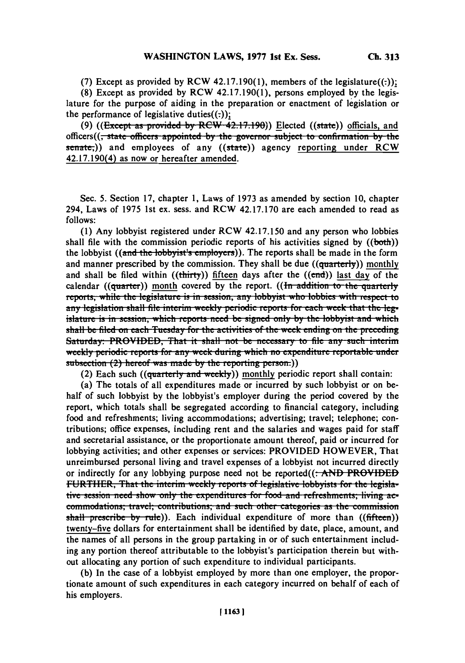(7) Except as provided by RCW 42.17.190 $(1)$ , members of the legislature $((:))$ ;

**(8)** Except as provided **by** RCW 42.17.190(1), persons employed **by** the legislature for the purpose of aiding in the preparation or enactment of legislation or the performance of legislative duties $((:)$ ;

(9) **((Except as provided by RCW 42.17.190)**) Elected ((state)) officials, and officers((<del>, state officers appointed by the governor subject to confirmation by the</del>  $s$ enate<sub>r</sub>)) and employees of any ((state)) agency reporting under RCW 42.17.190(4) as now or hereafter amended.

Sec. **5.** Section **17,** chapter **1,** Laws of **1973** as amended **by** section **10,** chapter 294, Laws of **1975** 1st ex. sess. and RCW **42.17.170** are each amended to read as *follows:*

**(1)** Any lobbyist registered under RCW 42.17.150 and any person who lobbies shall file with the commission periodic reports of his activities signed **by** ((both)) the lobbyist ((and the lobbyist's employers)). The reports shall be made in the form and manner prescribed by the commission. They shall be due ((quarterly)) monthly and shall be filed within  $((*thirty*))$  fifteen days after the  $((*end*))$  last day of the calendar ( $(\text{quarter})$ ) month covered by the report. ( $(\overline{\text{fn}}\text{ addition to the quarterly})$ reports, while the legislature is in session, any lobbyist who lobbies with respect to any legislation shall file interim weekly periodic reports for each week that the legislature is in session, which reports need be signed only by the lobbyist and which shall be filed on each Tuesday for the activities of the week ending on the preceding Saturday: PROVIDED, That it shall not be necessary to file any such interim **weekly periodic reports for any week during which no expenditure reportable under** subsection (2) hereof was made by the reporting person.))

(2) Each such  $((quarterly and weekly))$  monthly periodic report shall contain:

(a) The totals of all expenditures made or incurred **by** such lobbyist or on behalf of such lobbyist **by** the lobbyist's employer during the period covered **by** the report, which totals shall be segregated according to financial category, including food and refreshments; living accommodations; advertising; travel; telephone; contributions; office expenses, including rent and the salaries and wages paid for staff and secretarial assistance, or the proportionate amount thereof, paid or incurred for lobbying activities; and other expenses or services: PROVIDED HOWEVER, That unreimbursed personal living and travel expenses of a lobbyist not incurred directly or indirectly for any lobbying purpose need not be reported((. **AND PROVIDED** FURTHER, That the interim weekly reports of legislative lobbyists for the legisla*tive session need show only the expenditures for food and refreshments; living aecommodations; travel; contributions; and such other categories as the commission* shall prescribe by rule)). Each individual expenditure of more than ((fifteen)) twenty-five dollars for entertainment shall be identified **by** date, place, amount, and the names of all persons in the group partaking in or of such entertainment including any portion thereof attributable to the lobbyist's participation therein but without allocating any portion of such expenditure to individual participants.

**(b)** In the case of a lobbyist employed **by** more than one employer, the proportionate amount of such expenditures in each category incurred on behalf of each of his employers.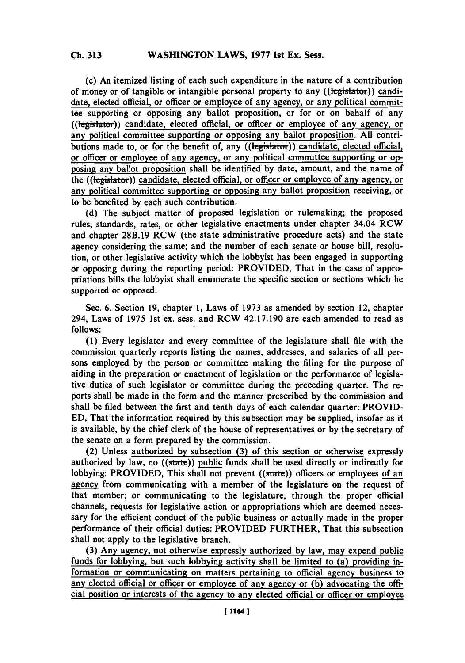(c) An itemized listing of each such expenditure in the nature of a contribution of money or of tangible or intangible personal property to any ((the existential candidate, elected official, or officer or employee of any agency, or any political committee supporting or opposing any ballot proposition, or for or on behalf of any  $\overline{((\text{legistator}))}$  candidate, elected official, or officer or employee of any agency, or any political committee supporting or opposing any ballot proposition. **All** contributions made to, or for the benefit of, any  $((\text{height})$ ) candidate, elected official, or officer or employee of any agency, or any political committee supporting or op posing any ballot proposition shall be identified **by** date, amount, and the name of the ((legislator)) candidate, elected official, or officer or employee of any agency, or any political committee supporting or opposing any ballot proposition receiving, or to be benefited **by** each such contribution.

**(d)** The subject matter of proposed legislation or rulemaking; the proposed rules, standards, rates, or other legislative enactments under chapter 34.04 RCW and chapter **28B.19** RCW (the state administrative procedure acts) and the state agency considering the same; and the number of each senate or house bill, resolution, or other legislative activity which the lobbyist has been engaged in supporting or opposing during the reporting period: PROVIDED, That in the case of appropriations bills the lobbyist shall enumerate the specific section or sections which he supported or opposed.

Sec. **6.** Section **19,** chapter **1,** Laws of **1973** as amended **by** section 12, chapter 294, Laws of *1975* 1st ex. sess. and RCW 42.17.190 are each amended to read as *follows:*

**(1)** Every legislator and every committee of the legislature shall file with the commission quarterly reports listing the names, addresses, and salaries of all persons employed **by** the person or committee making the filing for the purpose of aiding in the preparation or enactment of legislation or the performance of legislative duties of such legislator or committee during the preceding quarter. The reports shall be made in the form and the manner prescribed **by** the commission and shall be filed between the first and tenth days of each calendar quarter: PROVID-**ED,** That the information required **by** this subsection may be supplied, insofar as it is available, **by** the chief clerk of the house of representatives or **by** the secretary of the senate on a form prepared **by** the commission.

(2) Unless authorized **by** subsection **(3)** of this section or otherwise expressly authorized **by** law, no ((state)) public funds shall be used directly or indirectly for lobbying: PROVIDED, This shall not prevent ((state)) officers or employees of an agency from communicating with a member of the legislature on the request of that member; or communicating to the legislature, through the proper official channels, requests for legislative action or appropriations which are deemed necessary for the efficient conduct of the public business or actually made in the proper performance of their official duties: PROVIDED FURTHER, That this subsection shall not apply to the legislative branch.

**(3)** Any agency, not otherwise expressly authorized **by** law, may expend public funds for lobbying, but such lobbying activity shall be limited to (a) providing information or communicating on matters pertaining to official agency business to any elected official or officer or employee of any agency or **(b)** advocating the official position or interests of the agency to any elected official or officer or employee